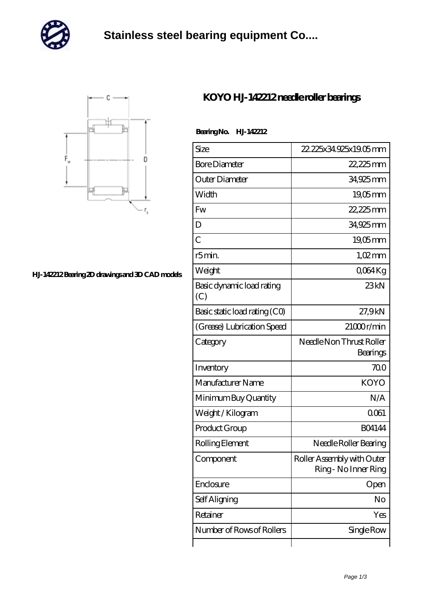

## **[Stainless steel bearing equipment Co....](https://m.nec-itsolutions.com)**



## **[HJ-142212 Bearing 2D drawings and 3D CAD models](https://m.nec-itsolutions.com/pic-16276.html)**

## **[KOYO HJ-142212 needle roller bearings](https://m.nec-itsolutions.com/bh-16276-koyo-hj-142212-needle-roller-bearings.html)**

## **Bearing No. HJ-142212**

| Size                             | 22, 225x34, 925x 19.05 mm                          |
|----------------------------------|----------------------------------------------------|
| <b>Bore Diameter</b>             | 22,225mm                                           |
| Outer Diameter                   | 34,925mm                                           |
| Width                            | $19,05$ mm                                         |
| Fw                               | 22,225mm                                           |
| D                                | 34,925mm                                           |
| $\overline{C}$                   | 19,05mm                                            |
| r5min.                           | $1,02$ mm                                          |
| Weight                           | Q064Kg                                             |
| Basic dynamic load rating<br>(C) | 23kN                                               |
| Basic static load rating (CO)    | 27,9kN                                             |
| (Grease) Lubrication Speed       | 21000r/min                                         |
| Category                         | Needle Non Thrust Roller<br>Bearings               |
| Inventory                        | 700                                                |
| Manufacturer Name                | <b>KOYO</b>                                        |
| Minimum Buy Quantity             | N/A                                                |
| Weight/Kilogram                  | 0061                                               |
| Product Group                    | <b>BO4144</b>                                      |
| Rolling Element                  | Needle Roller Bearing                              |
| Component                        | Roller Assembly with Outer<br>Ring - No Inner Ring |
| Enclosure                        | Open                                               |
| Self Aligning                    | No                                                 |
| Retainer                         | Yes                                                |
| Number of Rows of Rollers        | Single Row                                         |
|                                  |                                                    |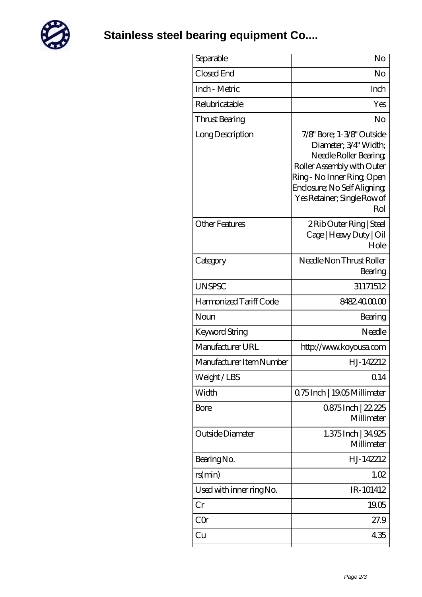

**[Stainless steel bearing equipment Co....](https://m.nec-itsolutions.com)**

| Separable                | No                                                                                                                                                                                                            |
|--------------------------|---------------------------------------------------------------------------------------------------------------------------------------------------------------------------------------------------------------|
| Closed End               | No                                                                                                                                                                                                            |
| Inch - Metric            | Inch                                                                                                                                                                                                          |
| Relubricatable           | Yes                                                                                                                                                                                                           |
| Thrust Bearing           | No                                                                                                                                                                                                            |
| Long Description         | 7/8" Bore; 1-3/8" Outside<br>Diameter; 3/4" Width;<br>Needle Roller Bearing<br>Roller Assembly with Outer<br>Ring - No Inner Ring, Open<br>Enclosure; No Self Aligning;<br>Yes Retainer; Single Row of<br>Rol |
| <b>Other Features</b>    | 2 Rib Outer Ring   Steel<br>Cage   Heavy Duty   Oil<br>Hole                                                                                                                                                   |
| Category                 | Needle Non Thrust Roller<br>Bearing                                                                                                                                                                           |
| <b>UNSPSC</b>            | 31171512                                                                                                                                                                                                      |
| Harmonized Tariff Code   | 8482.4000.00                                                                                                                                                                                                  |
| Noun                     | Bearing                                                                                                                                                                                                       |
| Keyword String           | Needle                                                                                                                                                                                                        |
| Manufacturer URL         | http://www.koyousa.com                                                                                                                                                                                        |
| Manufacturer Item Number | H.J-142212                                                                                                                                                                                                    |
| Weight/LBS               | 0.14                                                                                                                                                                                                          |
| Width                    | 075Inch   1905Millimeter                                                                                                                                                                                      |
| Bore                     | 0875Inch   22.225<br>Millimeter                                                                                                                                                                               |
| Outside Diameter         | 1.375 Inch   34,925<br>Millimeter                                                                                                                                                                             |
| Bearing No.              | H.J-142212                                                                                                                                                                                                    |
| rs(min)                  | 1.02                                                                                                                                                                                                          |
| Used with inner ring No. | IR-101412                                                                                                                                                                                                     |
| Cr                       | 19.05                                                                                                                                                                                                         |
| CQr                      | 27.9                                                                                                                                                                                                          |
| Cu                       | 435                                                                                                                                                                                                           |